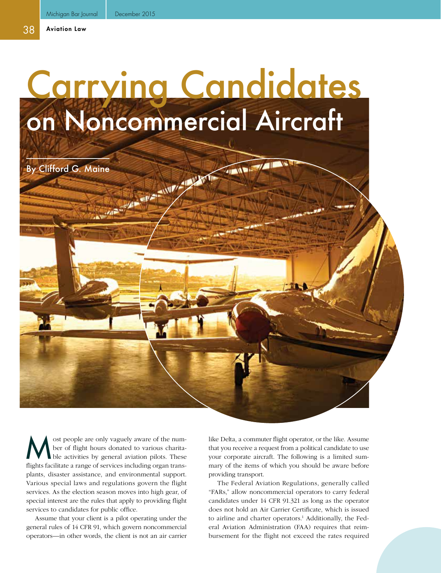## Carrying Candidates on Noncommercial Aircraft

By Clifford G. Maine

ost people are only vaguely aware of the num-<br>ber of flight hours donated to various charita-<br>ble activities by general aviation pilots. These ber of flight hours donated to various charitable activities by general aviation pilots. These flights facilitate a range of services including organ transplants, disaster assistance, and environmental support. Various special laws and regulations govern the flight services. As the election season moves into high gear, of special interest are the rules that apply to providing flight services to candidates for public office.

Assume that your client is a pilot operating under the general rules of 14 CFR 91, which govern noncommercial operators—in other words, the client is not an air carrier

like Delta, a commuter flight operator, or the like. Assume that you receive a request from a political candidate to use your corporate aircraft. The following is a limited summary of the items of which you should be aware before providing transport.

The Federal Aviation Regulations, generally called "FARs," allow noncommercial operators to carry federal candidates under 14 CFR 91.321 as long as the operator does not hold an Air Carrier Certificate, which is issued to airline and charter operators.<sup>1</sup> Additionally, the Federal Aviation Administration (FAA) requires that reimbursement for the flight not exceed the rates required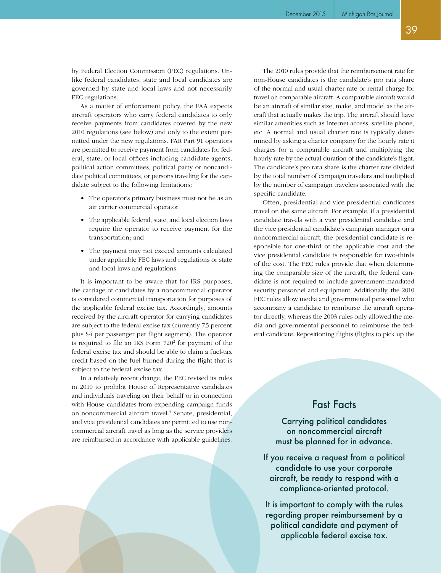As a matter of enforcement policy, the FAA expects aircraft operators who carry federal candidates to only receive payments from candidates covered by the new 2010 regulations (see below) and only to the extent permitted under the new regulations. FAR Part 91 operators are permitted to receive payment from candidates for federal, state, or local offices including candidate agents, political action committees, political party or noncandidate political committees, or persons traveling for the candidate subject to the following limitations:

- The operator's primary business must not be as an air carrier commercial operator;
- The applicable federal, state, and local election laws require the operator to receive payment for the transportation; and
- The payment may not exceed amounts calculated under applicable FEC laws and regulations or state and local laws and regulations.

It is important to be aware that for IRS purposes, the carriage of candidates by a noncommercial operator is considered commercial transportation for purposes of the applicable federal excise tax. Accordingly, amounts received by the aircraft operator for carrying candidates are subject to the federal excise tax (currently 7.5 percent plus \$4 per passenger per flight segment). The operator is required to file an IRS Form 720<sup>2</sup> for payment of the federal excise tax and should be able to claim a fuel-tax credit based on the fuel burned during the flight that is subject to the federal excise tax.

In a relatively recent change, the FEC revised its rules in 2010 to prohibit House of Representative candidates and individuals traveling on their behalf or in connection with House candidates from expending campaign funds on noncommercial aircraft travel.<sup>3</sup> Senate, presidential, and vice presidential candidates are permitted to use noncommercial aircraft travel as long as the service providers are reimbursed in accordance with applicable guidelines.

The 2010 rules provide that the reimbursement rate for non-House candidates is the candidate's pro rata share of the normal and usual charter rate or rental charge for travel on comparable aircraft. A comparable aircraft would be an aircraft of similar size, make, and model as the aircraft that actually makes the trip. The aircraft should have similar amenities such as Internet access, satellite phone, etc. A normal and usual charter rate is typically determined by asking a charter company for the hourly rate it charges for a comparable aircraft and multiplying the hourly rate by the actual duration of the candidate's flight. The candidate's pro rata share is the charter rate divided by the total number of campaign travelers and multiplied by the number of campaign travelers associated with the specific candidate.

Often, presidential and vice presidential candidates travel on the same aircraft. For example, if a presidential candidate travels with a vice presidential candidate and the vice presidential candidate's campaign manager on a noncommercial aircraft, the presidential candidate is responsible for one-third of the applicable cost and the vice presidential candidate is responsible for two-thirds of the cost. The FEC rules provide that when determining the comparable size of the aircraft, the federal candidate is not required to include government-mandated security personnel and equipment. Additionally, the 2010 FEC rules allow media and governmental personnel who accompany a candidate to reimburse the aircraft operator directly, whereas the 2003 rules only allowed the media and governmental personnel to reimburse the federal candidate. Repositioning flights (flights to pick up the

## Fast Facts

Carrying political candidates on noncommercial aircraft must be planned for in advance.

If you receive a request from a political candidate to use your corporate aircraft, be ready to respond with a compliance-oriented protocol.

It is important to comply with the rules regarding proper reimbursement by a political candidate and payment of applicable federal excise tax.